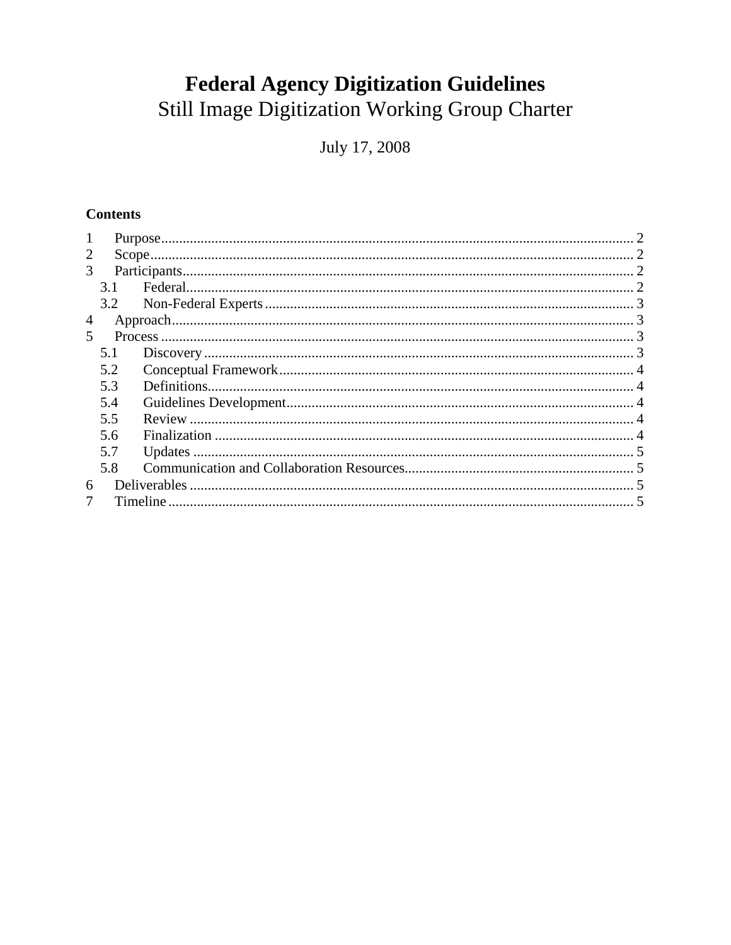# **Federal Agency Digitization Guidelines**

Still Image Digitization Working Group Charter

July 17, 2008

# **Contents**

| 1 |     |  |  |
|---|-----|--|--|
| 2 |     |  |  |
| 3 |     |  |  |
|   | 3.1 |  |  |
|   | 3.2 |  |  |
| 4 |     |  |  |
| 5 |     |  |  |
|   | 5.1 |  |  |
|   | 5.2 |  |  |
|   | 5.3 |  |  |
|   | 5.4 |  |  |
|   | 5.5 |  |  |
|   | 5.6 |  |  |
|   | 5.7 |  |  |
|   | 5.8 |  |  |
| 6 |     |  |  |
|   |     |  |  |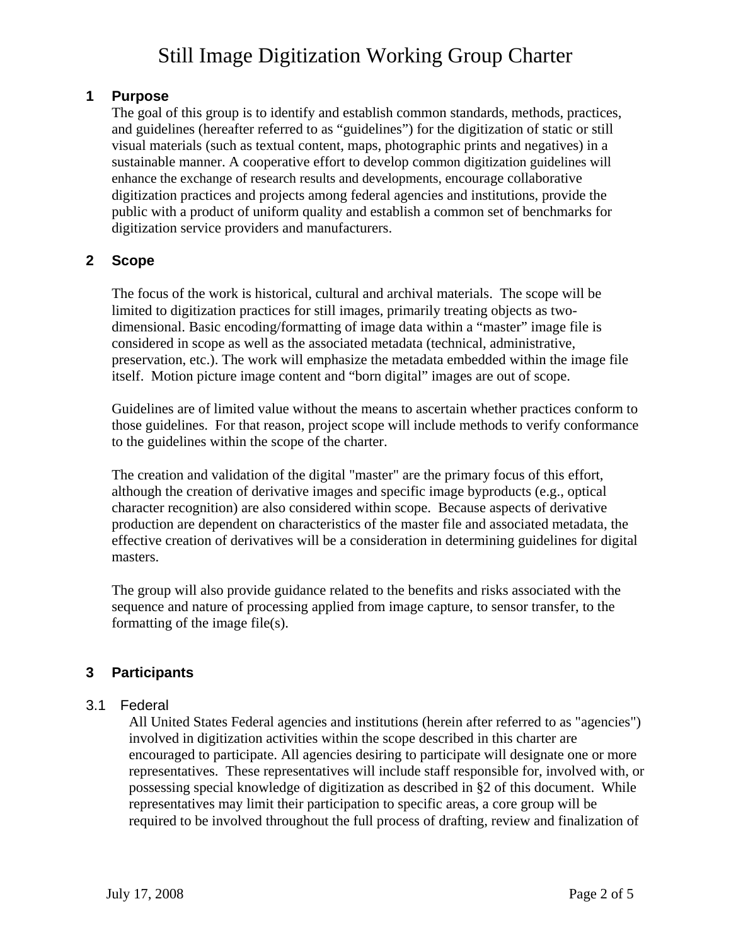### <span id="page-1-0"></span>**1 Purpose**

The goal of this group is to identify and establish common standards, methods, practices, and guidelines (hereafter referred to as "guidelines") for the digitization of static or still visual materials (such as textual content, maps, photographic prints and negatives) in a sustainable manner. A cooperative effort to develop common digitization guidelines will enhance the exchange of research results and developments, encourage collaborative digitization practices and projects among federal agencies and institutions, provide the public with a product of uniform quality and establish a common set of benchmarks for digitization service providers and manufacturers.

# **2 Scope**

The focus of the work is historical, cultural and archival materials. The scope will be limited to digitization practices for still images, primarily treating objects as twodimensional. Basic encoding/formatting of image data within a "master" image file is considered in scope as well as the associated metadata (technical, administrative, preservation, etc.). The work will emphasize the metadata embedded within the image file itself. Motion picture image content and "born digital" images are out of scope.

Guidelines are of limited value without the means to ascertain whether practices conform to those guidelines. For that reason, project scope will include methods to verify conformance to the guidelines within the scope of the charter.

The creation and validation of the digital "master" are the primary focus of this effort, although the creation of derivative images and specific image byproducts (e.g., optical character recognition) are also considered within scope. Because aspects of derivative production are dependent on characteristics of the master file and associated metadata, the effective creation of derivatives will be a consideration in determining guidelines for digital masters.

The group will also provide guidance related to the benefits and risks associated with the sequence and nature of processing applied from image capture, to sensor transfer, to the formatting of the image file(s).

# **3 Participants**

# 3.1 Federal

All United States Federal agencies and institutions (herein after referred to as "agencies") involved in digitization activities within the scope described in this charter are encouraged to participate. All agencies desiring to participate will designate one or more representatives. These representatives will include staff responsible for, involved with, or possessing special knowledge of digitization as described in §2 of this document. While representatives may limit their participation to specific areas, a core group will be required to be involved throughout the full process of drafting, review and finalization of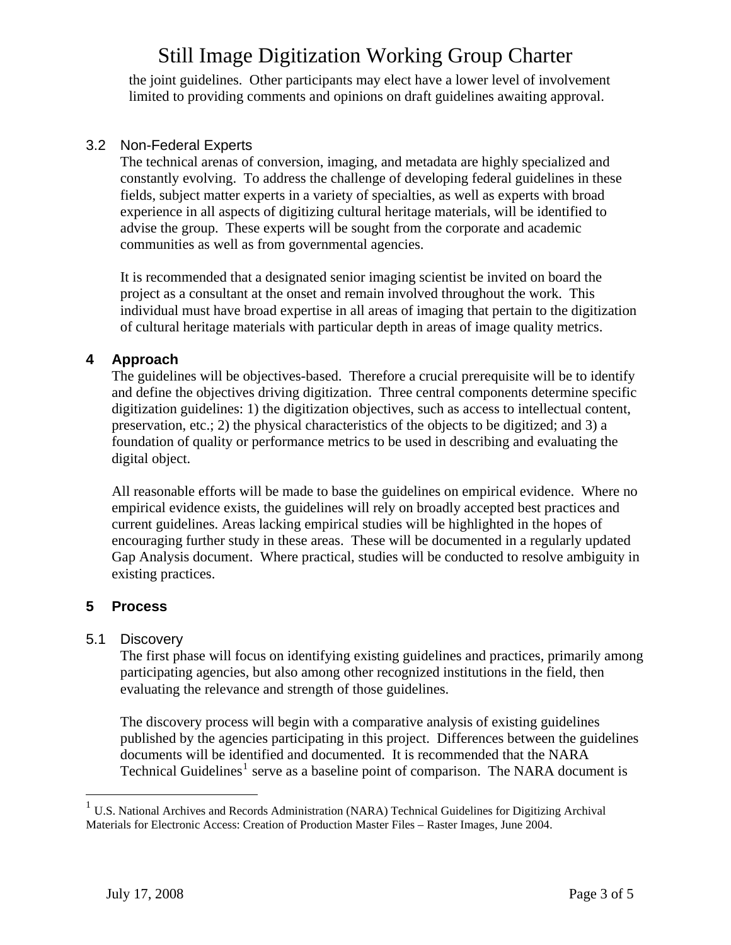<span id="page-2-0"></span>the joint guidelines. Other participants may elect have a lower level of involvement limited to providing comments and opinions on draft guidelines awaiting approval.

### 3.2 Non-Federal Experts

The technical arenas of conversion, imaging, and metadata are highly specialized and constantly evolving. To address the challenge of developing federal guidelines in these fields, subject matter experts in a variety of specialties, as well as experts with broad experience in all aspects of digitizing cultural heritage materials, will be identified to advise the group. These experts will be sought from the corporate and academic communities as well as from governmental agencies.

It is recommended that a designated senior imaging scientist be invited on board the project as a consultant at the onset and remain involved throughout the work. This individual must have broad expertise in all areas of imaging that pertain to the digitization of cultural heritage materials with particular depth in areas of image quality metrics.

### **4 Approach**

The guidelines will be objectives-based. Therefore a crucial prerequisite will be to identify and define the objectives driving digitization. Three central components determine specific digitization guidelines: 1) the digitization objectives, such as access to intellectual content, preservation, etc.; 2) the physical characteristics of the objects to be digitized; and 3) a foundation of quality or performance metrics to be used in describing and evaluating the digital object.

All reasonable efforts will be made to base the guidelines on empirical evidence. Where no empirical evidence exists, the guidelines will rely on broadly accepted best practices and current guidelines. Areas lacking empirical studies will be highlighted in the hopes of encouraging further study in these areas. These will be documented in a regularly updated Gap Analysis document. Where practical, studies will be conducted to resolve ambiguity in existing practices.

# **5 Process**

<u>.</u>

#### 5.1 Discovery

The first phase will focus on identifying existing guidelines and practices, primarily among participating agencies, but also among other recognized institutions in the field, then evaluating the relevance and strength of those guidelines.

The discovery process will begin with a comparative analysis of existing guidelines published by the agencies participating in this project. Differences between the guidelines documents will be identified and documented. It is recommended that the NARA Technical Guidelines<sup>[1](#page-2-1)</sup> serve as a baseline point of comparison. The NARA document is

<span id="page-2-1"></span><sup>&</sup>lt;sup>1</sup> U.S. National Archives and Records Administration (NARA) Technical Guidelines for Digitizing Archival Materials for Electronic Access: Creation of Production Master Files – Raster Images, June 2004.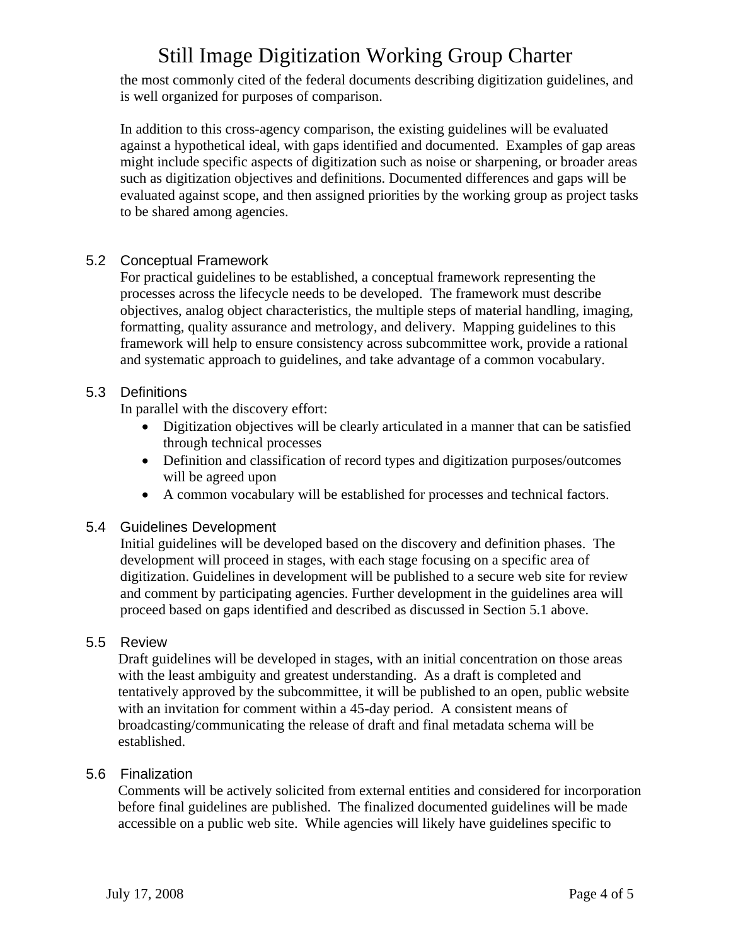<span id="page-3-0"></span>the most commonly cited of the federal documents describing digitization guidelines, and is well organized for purposes of comparison.

In addition to this cross-agency comparison, the existing guidelines will be evaluated against a hypothetical ideal, with gaps identified and documented. Examples of gap areas might include specific aspects of digitization such as noise or sharpening, or broader areas such as digitization objectives and definitions. Documented differences and gaps will be evaluated against scope, and then assigned priorities by the working group as project tasks to be shared among agencies.

# 5.2 Conceptual Framework

For practical guidelines to be established, a conceptual framework representing the processes across the lifecycle needs to be developed. The framework must describe objectives, analog object characteristics, the multiple steps of material handling, imaging, formatting, quality assurance and metrology, and delivery. Mapping guidelines to this framework will help to ensure consistency across subcommittee work, provide a rational and systematic approach to guidelines, and take advantage of a common vocabulary.

# 5.3 Definitions

In parallel with the discovery effort:

- Digitization objectives will be clearly articulated in a manner that can be satisfied through technical processes
- Definition and classification of record types and digitization purposes/outcomes will be agreed upon
- A common vocabulary will be established for processes and technical factors.

#### 5.4 Guidelines Development

Initial guidelines will be developed based on the discovery and definition phases. The development will proceed in stages, with each stage focusing on a specific area of digitization. Guidelines in development will be published to a secure web site for review and comment by participating agencies. Further development in the guidelines area will proceed based on gaps identified and described as discussed in Section 5.1 above.

#### 5.5 Review

Draft guidelines will be developed in stages, with an initial concentration on those areas with the least ambiguity and greatest understanding. As a draft is completed and tentatively approved by the subcommittee, it will be published to an open, public website with an invitation for comment within a 45-day period. A consistent means of broadcasting/communicating the release of draft and final metadata schema will be established.

#### 5.6 Finalization

Comments will be actively solicited from external entities and considered for incorporation before final guidelines are published. The finalized documented guidelines will be made accessible on a public web site. While agencies will likely have guidelines specific to